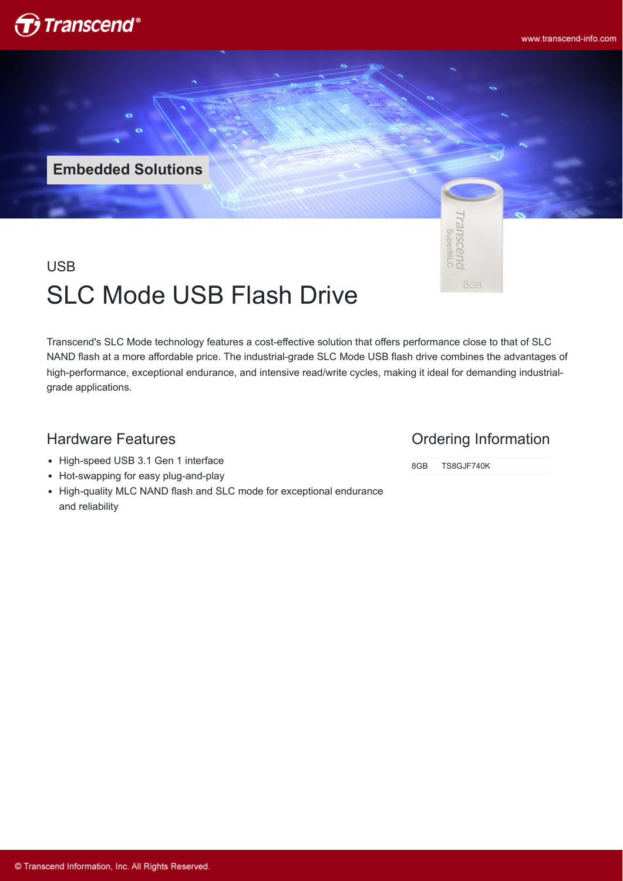

**Embedded Solutions**



# USB SLC Mode USB Flash Drive

Transcend's SLC Mode technology features a cost-effective solution that offers performance close to that of SLC NAND flash at a more affordable price. The industrial-grade SLC Mode USB flash drive combines the advantages of high-performance, exceptional endurance, and intensive read/write cycles, making it ideal for demanding industrialgrade applications.

### Hardware Features

- High-speed USB 3.1 Gen 1 interface
- Hot-swapping for easy plug-and-play
- High-quality MLC NAND flash and SLC mode for exceptional endurance and reliability

#### Ordering Information

8GB TS8GJF740K